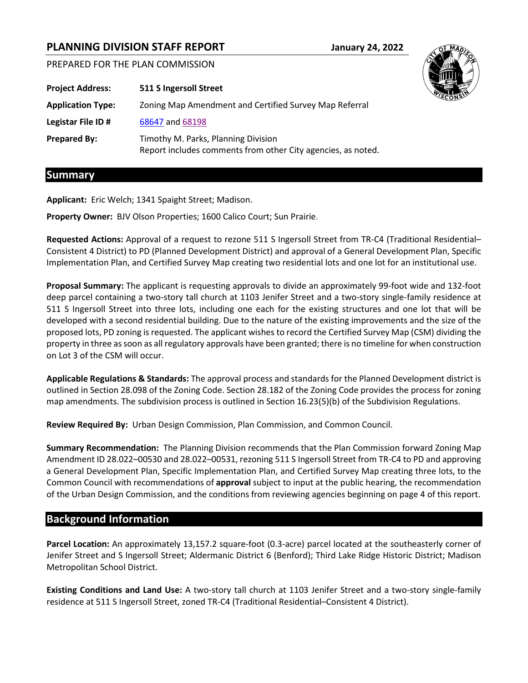# **PLANNING DIVISION STAFF REPORT January 24, 2022**

PREPARED FOR THE PLAN COMMISSION

| <b>Project Address:</b>  | 511 S Ingersoll Street                                                                              |
|--------------------------|-----------------------------------------------------------------------------------------------------|
| <b>Application Type:</b> | Zoning Map Amendment and Certified Survey Map Referral                                              |
| Legistar File ID#        | 68647 and 68198                                                                                     |
| <b>Prepared By:</b>      | Timothy M. Parks, Planning Division<br>Report includes comments from other City agencies, as noted. |

### **Summary**

**Applicant:** Eric Welch; 1341 Spaight Street; Madison.

**Property Owner:** BJV Olson Properties; 1600 Calico Court; Sun Prairie.

**Requested Actions:** Approval of a request to rezone 511 S Ingersoll Street from TR-C4 (Traditional Residential– Consistent 4 District) to PD (Planned Development District) and approval of a General Development Plan, Specific Implementation Plan, and Certified Survey Map creating two residential lots and one lot for an institutional use.

**Proposal Summary:** The applicant is requesting approvals to divide an approximately 99-foot wide and 132-foot deep parcel containing a two-story tall church at 1103 Jenifer Street and a two-story single-family residence at 511 S Ingersoll Street into three lots, including one each for the existing structures and one lot that will be developed with a second residential building. Due to the nature of the existing improvements and the size of the proposed lots, PD zoning is requested. The applicant wishes to record the Certified Survey Map (CSM) dividing the property in three as soon as all regulatory approvals have been granted; there is no timeline for when construction on Lot 3 of the CSM will occur.

**Applicable Regulations & Standards:** The approval process and standards for the Planned Development district is outlined in Section 28.098 of the Zoning Code. Section 28.182 of the Zoning Code provides the process for zoning map amendments. The subdivision process is outlined in Section 16.23(5)(b) of the Subdivision Regulations.

**Review Required By:** Urban Design Commission, Plan Commission, and Common Council.

**Summary Recommendation:** The Planning Division recommends that the Plan Commission forward Zoning Map Amendment ID 28.022–00530 and 28.022–00531, rezoning 511 S Ingersoll Street from TR-C4 to PD and approving a General Development Plan, Specific Implementation Plan, and Certified Survey Map creating three lots, to the Common Council with recommendations of **approval** subject to input at the public hearing, the recommendation of the Urban Design Commission, and the conditions from reviewing agencies beginning on page 4 of this report.

# **Background Information**

**Parcel Location:** An approximately 13,157.2 square-foot (0.3-acre) parcel located at the southeasterly corner of Jenifer Street and S Ingersoll Street; Aldermanic District 6 (Benford); Third Lake Ridge Historic District; Madison Metropolitan School District.

**Existing Conditions and Land Use:** A two-story tall church at 1103 Jenifer Street and a two-story single-family residence at 511 S Ingersoll Street, zoned TR-C4 (Traditional Residential–Consistent 4 District).

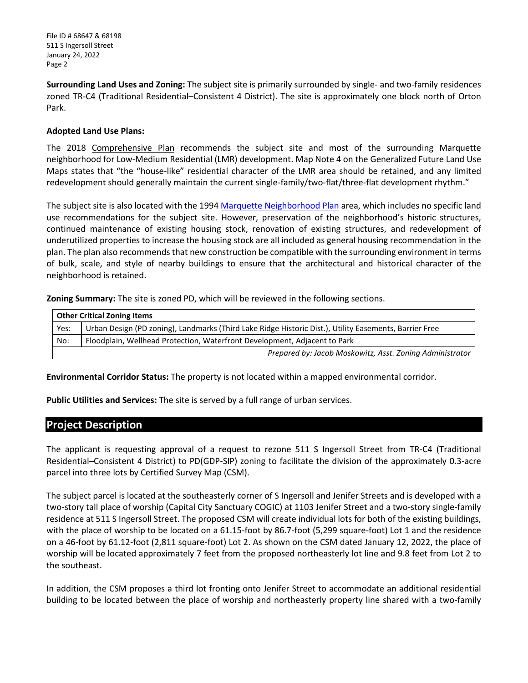**Surrounding Land Uses and Zoning:** The subject site is primarily surrounded by single- and two-family residences zoned TR-C4 (Traditional Residential–Consistent 4 District). The site is approximately one block north of Orton Park.

#### **Adopted Land Use Plans:**

The 2018 Comprehensive Plan recommends the subject site and most of the surrounding Marquette neighborhood for Low-Medium Residential (LMR) development. Map Note 4 on the Generalized Future Land Use Maps states that "the "house-like" residential character of the LMR area should be retained, and any limited redevelopment should generally maintain the current single-family/two-flat/three-flat development rhythm."

The subject site is also located with the 1994 Marquette [Neighborhood Plan](https://www.cityofmadison.com/dpced/planning/documents/marquette.pdf) area, which includes no specific land use recommendations for the subject site. However, preservation of the neighborhood's historic structures, continued maintenance of existing housing stock, renovation of existing structures, and redevelopment of underutilized properties to increase the housing stock are all included as general housing recommendation in the plan. The plan also recommends that new construction be compatible with the surrounding environment in terms of bulk, scale, and style of nearby buildings to ensure that the architectural and historical character of the neighborhood is retained.

**Zoning Summary:** The site is zoned PD, which will be reviewed in the following sections.

| <b>Other Critical Zoning Items</b>                                               |                                                                                                        |
|----------------------------------------------------------------------------------|--------------------------------------------------------------------------------------------------------|
| Yes:                                                                             | Urban Design (PD zoning), Landmarks (Third Lake Ridge Historic Dist.), Utility Easements, Barrier Free |
| Floodplain, Wellhead Protection, Waterfront Development, Adjacent to Park<br>No: |                                                                                                        |
|                                                                                  | Prepared by: Jacob Moskowitz, Asst. Zoning Administrator                                               |

**Environmental Corridor Status:** The property is not located within a mapped environmental corridor.

**Public Utilities and Services:** The site is served by a full range of urban services.

# **Project Description**

The applicant is requesting approval of a request to rezone 511 S Ingersoll Street from TR-C4 (Traditional Residential–Consistent 4 District) to PD(GDP-SIP) zoning to facilitate the division of the approximately 0.3-acre parcel into three lots by Certified Survey Map (CSM).

The subject parcel is located at the southeasterly corner of S Ingersoll and Jenifer Streets and is developed with a two-story tall place of worship (Capital City Sanctuary COGIC) at 1103 Jenifer Street and a two-story single-family residence at 511 S Ingersoll Street. The proposed CSM will create individual lots for both of the existing buildings, with the place of worship to be located on a 61.15-foot by 86.7-foot (5,299 square-foot) Lot 1 and the residence on a 46-foot by 61.12-foot (2,811 square-foot) Lot 2. As shown on the CSM dated January 12, 2022, the place of worship will be located approximately 7 feet from the proposed northeasterly lot line and 9.8 feet from Lot 2 to the southeast.

In addition, the CSM proposes a third lot fronting onto Jenifer Street to accommodate an additional residential building to be located between the place of worship and northeasterly property line shared with a two-family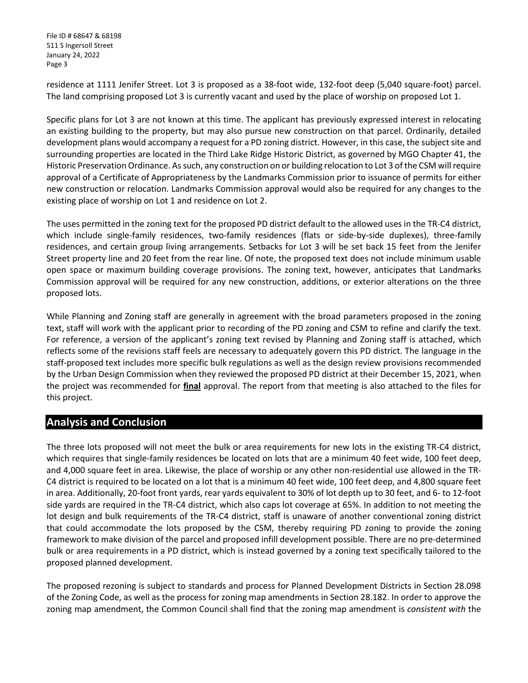residence at 1111 Jenifer Street. Lot 3 is proposed as a 38-foot wide, 132-foot deep (5,040 square-foot) parcel. The land comprising proposed Lot 3 is currently vacant and used by the place of worship on proposed Lot 1.

Specific plans for Lot 3 are not known at this time. The applicant has previously expressed interest in relocating an existing building to the property, but may also pursue new construction on that parcel. Ordinarily, detailed development plans would accompany a request for a PD zoning district. However, in this case, the subject site and surrounding properties are located in the Third Lake Ridge Historic District, as governed by MGO Chapter 41, the Historic Preservation Ordinance. As such, any construction on or building relocation to Lot 3 of the CSM will require approval of a Certificate of Appropriateness by the Landmarks Commission prior to issuance of permits for either new construction or relocation. Landmarks Commission approval would also be required for any changes to the existing place of worship on Lot 1 and residence on Lot 2.

The uses permitted in the zoning text for the proposed PD district default to the allowed uses in the TR-C4 district, which include single-family residences, two-family residences (flats or side-by-side duplexes), three-family residences, and certain group living arrangements. Setbacks for Lot 3 will be set back 15 feet from the Jenifer Street property line and 20 feet from the rear line. Of note, the proposed text does not include minimum usable open space or maximum building coverage provisions. The zoning text, however, anticipates that Landmarks Commission approval will be required for any new construction, additions, or exterior alterations on the three proposed lots.

While Planning and Zoning staff are generally in agreement with the broad parameters proposed in the zoning text, staff will work with the applicant prior to recording of the PD zoning and CSM to refine and clarify the text. For reference, a version of the applicant's zoning text revised by Planning and Zoning staff is attached, which reflects some of the revisions staff feels are necessary to adequately govern this PD district. The language in the staff-proposed text includes more specific bulk regulations as well as the design review provisions recommended by the Urban Design Commission when they reviewed the proposed PD district at their December 15, 2021, when the project was recommended for **final** approval. The report from that meeting is also attached to the files for this project.

# **Analysis and Conclusion**

The three lots proposed will not meet the bulk or area requirements for new lots in the existing TR-C4 district, which requires that single-family residences be located on lots that are a minimum 40 feet wide, 100 feet deep, and 4,000 square feet in area. Likewise, the place of worship or any other non-residential use allowed in the TR-C4 district is required to be located on a lot that is a minimum 40 feet wide, 100 feet deep, and 4,800 square feet in area. Additionally, 20-foot front yards, rear yards equivalent to 30% of lot depth up to 30 feet, and 6- to 12-foot side yards are required in the TR-C4 district, which also caps lot coverage at 65%. In addition to not meeting the lot design and bulk requirements of the TR-C4 district, staff is unaware of another conventional zoning district that could accommodate the lots proposed by the CSM, thereby requiring PD zoning to provide the zoning framework to make division of the parcel and proposed infill development possible. There are no pre-determined bulk or area requirements in a PD district, which is instead governed by a zoning text specifically tailored to the proposed planned development.

The proposed rezoning is subject to standards and process for Planned Development Districts in Section 28.098 of the Zoning Code, as well as the process for zoning map amendments in Section 28.182. In order to approve the zoning map amendment, the Common Council shall find that the zoning map amendment is *consistent with* the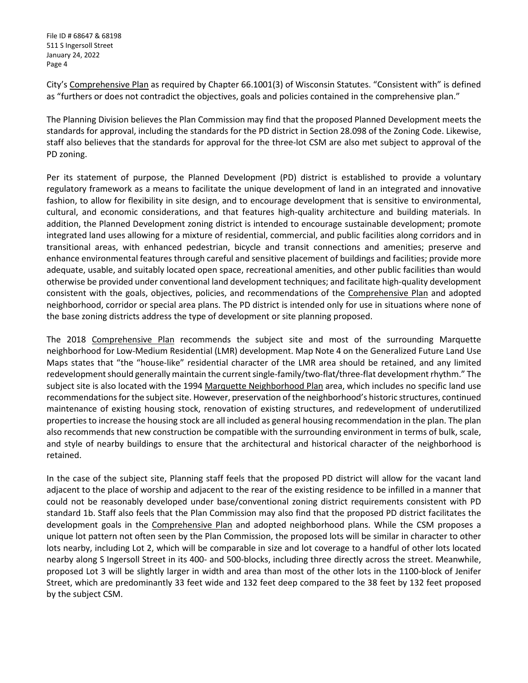City's Comprehensive Plan as required by Chapter 66.1001(3) of Wisconsin Statutes. "Consistent with" is defined as "furthers or does not contradict the objectives, goals and policies contained in the comprehensive plan."

The Planning Division believes the Plan Commission may find that the proposed Planned Development meets the standards for approval, including the standards for the PD district in Section 28.098 of the Zoning Code. Likewise, staff also believes that the standards for approval for the three-lot CSM are also met subject to approval of the PD zoning.

Per its statement of purpose, the Planned Development (PD) district is established to provide a voluntary regulatory framework as a means to facilitate the unique development of land in an integrated and innovative fashion, to allow for flexibility in site design, and to encourage development that is sensitive to environmental, cultural, and economic considerations, and that features high-quality architecture and building materials. In addition, the Planned Development zoning district is intended to encourage sustainable development; promote integrated land uses allowing for a mixture of residential, commercial, and public facilities along corridors and in transitional areas, with enhanced pedestrian, bicycle and transit connections and amenities; preserve and enhance environmental features through careful and sensitive placement of buildings and facilities; provide more adequate, usable, and suitably located open space, recreational amenities, and other public facilities than would otherwise be provided under conventional land development techniques; and facilitate high-quality development consistent with the goals, objectives, policies, and recommendations of the Comprehensive Plan and adopted neighborhood, corridor or special area plans. The PD district is intended only for use in situations where none of the base zoning districts address the type of development or site planning proposed.

The 2018 Comprehensive Plan recommends the subject site and most of the surrounding Marquette neighborhood for Low-Medium Residential (LMR) development. Map Note 4 on the Generalized Future Land Use Maps states that "the "house-like" residential character of the LMR area should be retained, and any limited redevelopment should generally maintain the current single-family/two-flat/three-flat development rhythm." The subject site is also located with the 1994 Marquette Neighborhood Plan area, which includes no specific land use recommendations for the subject site. However, preservation of the neighborhood's historic structures, continued maintenance of existing housing stock, renovation of existing structures, and redevelopment of underutilized properties to increase the housing stock are all included as general housing recommendation in the plan. The plan also recommends that new construction be compatible with the surrounding environment in terms of bulk, scale, and style of nearby buildings to ensure that the architectural and historical character of the neighborhood is retained.

In the case of the subject site, Planning staff feels that the proposed PD district will allow for the vacant land adjacent to the place of worship and adjacent to the rear of the existing residence to be infilled in a manner that could not be reasonably developed under base/conventional zoning district requirements consistent with PD standard 1b. Staff also feels that the Plan Commission may also find that the proposed PD district facilitates the development goals in the Comprehensive Plan and adopted neighborhood plans. While the CSM proposes a unique lot pattern not often seen by the Plan Commission, the proposed lots will be similar in character to other lots nearby, including Lot 2, which will be comparable in size and lot coverage to a handful of other lots located nearby along S Ingersoll Street in its 400- and 500-blocks, including three directly across the street. Meanwhile, proposed Lot 3 will be slightly larger in width and area than most of the other lots in the 1100-block of Jenifer Street, which are predominantly 33 feet wide and 132 feet deep compared to the 38 feet by 132 feet proposed by the subject CSM.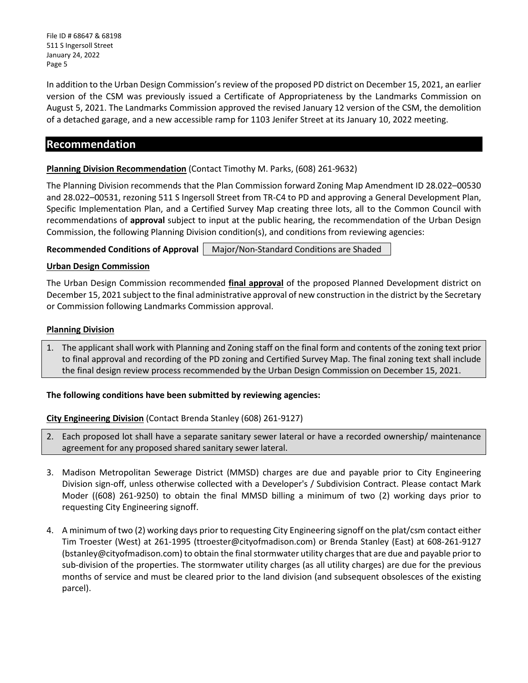In addition to the Urban Design Commission's review of the proposed PD district on December 15, 2021, an earlier version of the CSM was previously issued a Certificate of Appropriateness by the Landmarks Commission on August 5, 2021. The Landmarks Commission approved the revised January 12 version of the CSM, the demolition of a detached garage, and a new accessible ramp for 1103 Jenifer Street at its January 10, 2022 meeting.

# **Recommendation**

#### **Planning Division Recommendation** (Contact Timothy M. Parks, (608) 261-9632)

The Planning Division recommends that the Plan Commission forward Zoning Map Amendment ID 28.022–00530 and 28.022–00531, rezoning 511 S Ingersoll Street from TR-C4 to PD and approving a General Development Plan, Specific Implementation Plan, and a Certified Survey Map creating three lots, all to the Common Council with recommendations of **approval** subject to input at the public hearing, the recommendation of the Urban Design Commission, the following Planning Division condition(s), and conditions from reviewing agencies:

**Recommended Conditions of Approval | Major/Non-Standard Conditions are Shaded.** 

#### **Urban Design Commission**

The Urban Design Commission recommended **final approval** of the proposed Planned Development district on December 15, 2021 subject to the final administrative approval of new construction in the district by the Secretary or Commission following Landmarks Commission approval.

#### **Planning Division**

1. The applicant shall work with Planning and Zoning staff on the final form and contents of the zoning text prior to final approval and recording of the PD zoning and Certified Survey Map. The final zoning text shall include the final design review process recommended by the Urban Design Commission on December 15, 2021.

#### **The following conditions have been submitted by reviewing agencies:**

#### **City Engineering Division** (Contact Brenda Stanley (608) 261-9127)

- 2. Each proposed lot shall have a separate sanitary sewer lateral or have a recorded ownership/ maintenance agreement for any proposed shared sanitary sewer lateral.
- 3. Madison Metropolitan Sewerage District (MMSD) charges are due and payable prior to City Engineering Division sign-off, unless otherwise collected with a Developer's / Subdivision Contract. Please contact Mark Moder ((608) 261-9250) to obtain the final MMSD billing a minimum of two (2) working days prior to requesting City Engineering signoff.
- 4. A minimum of two (2) working days prior to requesting City Engineering signoff on the plat/csm contact either Tim Troester (West) at 261-1995 (ttroester@cityofmadison.com) or Brenda Stanley (East) at 608-261-9127 (bstanley@cityofmadison.com) to obtain the final stormwater utility charges that are due and payable prior to sub-division of the properties. The stormwater utility charges (as all utility charges) are due for the previous months of service and must be cleared prior to the land division (and subsequent obsolesces of the existing parcel).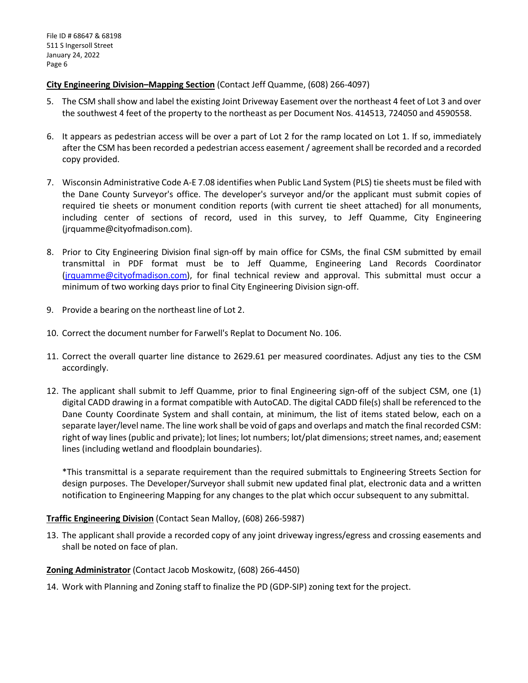**City Engineering Division–Mapping Section** (Contact Jeff Quamme, (608) 266-4097)

- 5. The CSM shallshow and label the existing Joint Driveway Easement over the northeast 4 feet of Lot 3 and over the southwest 4 feet of the property to the northeast as per Document Nos. 414513, 724050 and 4590558.
- 6. It appears as pedestrian access will be over a part of Lot 2 for the ramp located on Lot 1. If so, immediately after the CSM has been recorded a pedestrian access easement / agreement shall be recorded and a recorded copy provided.
- 7. Wisconsin Administrative Code A-E 7.08 identifies when Public Land System (PLS) tie sheets must be filed with the Dane County Surveyor's office. The developer's surveyor and/or the applicant must submit copies of required tie sheets or monument condition reports (with current tie sheet attached) for all monuments, including center of sections of record, used in this survey, to Jeff Quamme, City Engineering (jrquamme@cityofmadison.com).
- 8. Prior to City Engineering Division final sign-off by main office for CSMs, the final CSM submitted by email transmittal in PDF format must be to Jeff Quamme, Engineering Land Records Coordinator [\(jrquamme@cityofmadison.com\)](mailto:jrquamme@cityofmadison.com), for final technical review and approval. This submittal must occur a minimum of two working days prior to final City Engineering Division sign-off.
- 9. Provide a bearing on the northeast line of Lot 2.
- 10. Correct the document number for Farwell's Replat to Document No. 106.
- 11. Correct the overall quarter line distance to 2629.61 per measured coordinates. Adjust any ties to the CSM accordingly.
- 12. The applicant shall submit to Jeff Quamme, prior to final Engineering sign-off of the subject CSM, one (1) digital CADD drawing in a format compatible with AutoCAD. The digital CADD file(s) shall be referenced to the Dane County Coordinate System and shall contain, at minimum, the list of items stated below, each on a separate layer/level name. The line work shall be void of gaps and overlaps and match the final recorded CSM: right of way lines (public and private); lot lines; lot numbers; lot/plat dimensions; street names, and; easement lines (including wetland and floodplain boundaries).

\*This transmittal is a separate requirement than the required submittals to Engineering Streets Section for design purposes. The Developer/Surveyor shall submit new updated final plat, electronic data and a written notification to Engineering Mapping for any changes to the plat which occur subsequent to any submittal.

### **Traffic Engineering Division** (Contact Sean Malloy, (608) 266-5987)

13. The applicant shall provide a recorded copy of any joint driveway ingress/egress and crossing easements and shall be noted on face of plan.

#### **Zoning Administrator** (Contact Jacob Moskowitz, (608) 266-4450)

14. Work with Planning and Zoning staff to finalize the PD (GDP-SIP) zoning text for the project.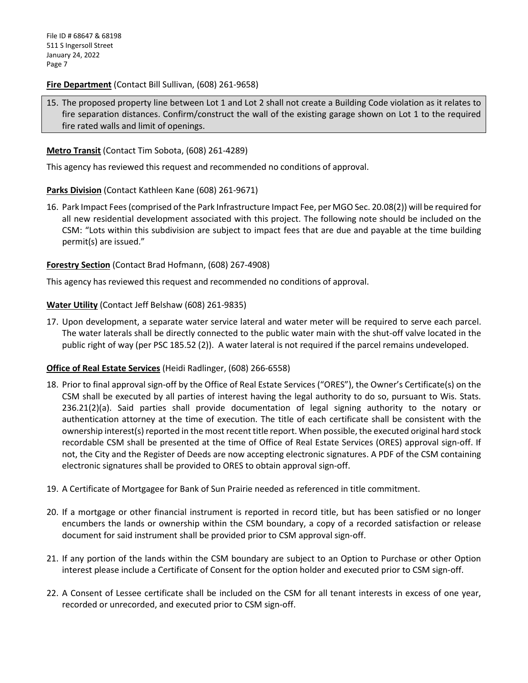#### **Fire Department** (Contact Bill Sullivan, (608) 261-9658)

15. The proposed property line between Lot 1 and Lot 2 shall not create a Building Code violation as it relates to fire separation distances. Confirm/construct the wall of the existing garage shown on Lot 1 to the required fire rated walls and limit of openings.

#### **Metro Transit** (Contact Tim Sobota, (608) 261-4289)

This agency has reviewed this request and recommended no conditions of approval.

#### **Parks Division** (Contact Kathleen Kane (608) 261-9671)

16. Park Impact Fees(comprised of the Park Infrastructure Impact Fee, per MGO Sec. 20.08(2)) will be required for all new residential development associated with this project. The following note should be included on the CSM: "Lots within this subdivision are subject to impact fees that are due and payable at the time building permit(s) are issued."

#### **Forestry Section** (Contact Brad Hofmann, (608) 267-4908)

This agency has reviewed this request and recommended no conditions of approval.

#### **Water Utility** (Contact Jeff Belshaw (608) 261-9835)

17. Upon development, a separate water service lateral and water meter will be required to serve each parcel. The water laterals shall be directly connected to the public water main with the shut-off valve located in the public right of way (per PSC 185.52 (2)). A water lateral is not required if the parcel remains undeveloped.

### **Office of Real Estate Services** (Heidi Radlinger, (608) 266-6558)

- 18. Prior to final approval sign-off by the Office of Real Estate Services ("ORES"), the Owner's Certificate(s) on the CSM shall be executed by all parties of interest having the legal authority to do so, pursuant to Wis. Stats. 236.21(2)(a). Said parties shall provide documentation of legal signing authority to the notary or authentication attorney at the time of execution. The title of each certificate shall be consistent with the ownership interest(s) reported in the most recent title report. When possible, the executed original hard stock recordable CSM shall be presented at the time of Office of Real Estate Services (ORES) approval sign-off. If not, the City and the Register of Deeds are now accepting electronic signatures. A PDF of the CSM containing electronic signatures shall be provided to ORES to obtain approval sign-off.
- 19. A Certificate of Mortgagee for Bank of Sun Prairie needed as referenced in title commitment.
- 20. If a mortgage or other financial instrument is reported in record title, but has been satisfied or no longer encumbers the lands or ownership within the CSM boundary, a copy of a recorded satisfaction or release document for said instrument shall be provided prior to CSM approval sign-off.
- 21. If any portion of the lands within the CSM boundary are subject to an Option to Purchase or other Option interest please include a Certificate of Consent for the option holder and executed prior to CSM sign-off.
- 22. A Consent of Lessee certificate shall be included on the CSM for all tenant interests in excess of one year, recorded or unrecorded, and executed prior to CSM sign-off.